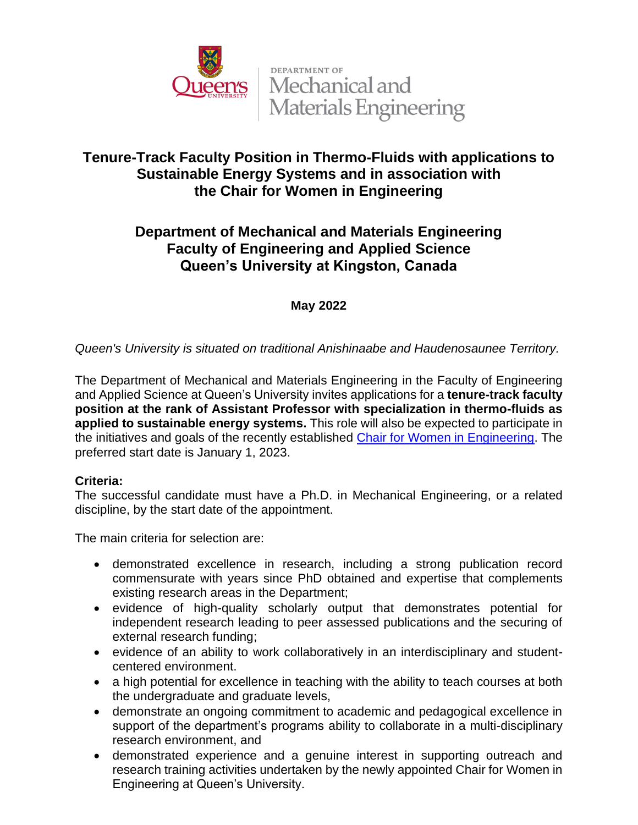

DEPARTMENT OF **Pen's** Mechanical and **Materials Engineering** 

# **Tenure-Track Faculty Position in Thermo-Fluids with applications to Sustainable Energy Systems and in association with the Chair for Women in Engineering**

# **Department of Mechanical and Materials Engineering Faculty of Engineering and Applied Science Queen's University at Kingston, Canada**

### **May 2022**

### *Queen's University is situated on traditional Anishinaabe and Haudenosaunee Territory.*

The Department of Mechanical and Materials Engineering in the Faculty of Engineering and Applied Science at Queen's University invites applications for a **tenure-track faculty position at the rank of Assistant Professor with specialization in thermo-fluids as applied to sustainable energy systems.** This role will also be expected to participate in the initiatives and goals of the recently established [Chair for Women in Engineering.](https://engineering.queensu.ca/women-in-engineering/) The preferred start date is January 1, 2023.

#### **Criteria:**

The successful candidate must have a Ph.D. in Mechanical Engineering, or a related discipline, by the start date of the appointment.

The main criteria for selection are:

- demonstrated excellence in research, including a strong publication record commensurate with years since PhD obtained and expertise that complements existing research areas in the Department;
- evidence of high-quality scholarly output that demonstrates potential for independent research leading to peer assessed publications and the securing of external research funding;
- evidence of an ability to work collaboratively in an interdisciplinary and studentcentered environment.
- a high potential for excellence in teaching with the ability to teach courses at both the undergraduate and graduate levels,
- demonstrate an ongoing commitment to academic and pedagogical excellence in support of the department's programs ability to collaborate in a multi-disciplinary research environment, and
- demonstrated experience and a genuine interest in supporting outreach and research training activities undertaken by the newly appointed Chair for Women in Engineering at Queen's University.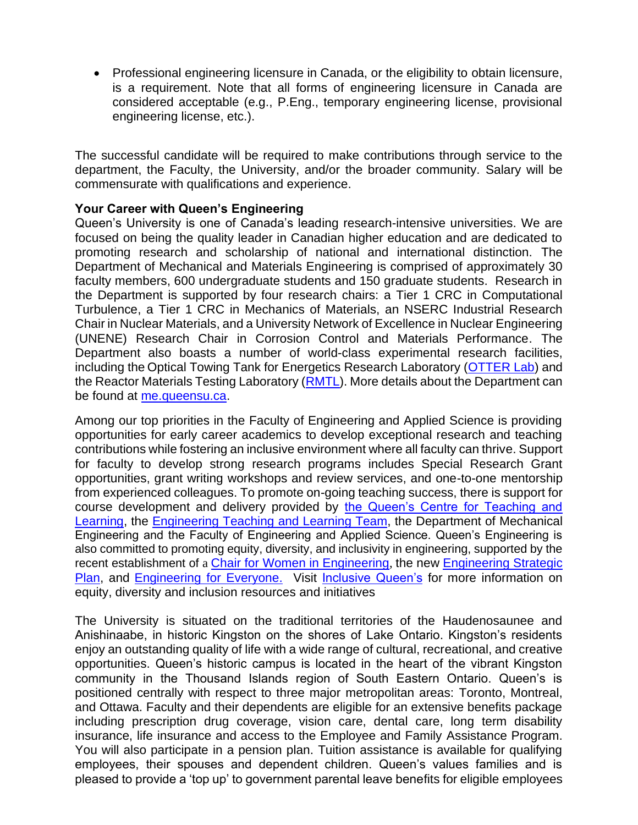• Professional engineering licensure in Canada, or the eligibility to obtain licensure, is a requirement. Note that all forms of engineering licensure in Canada are considered acceptable (e.g., P.Eng., temporary engineering license, provisional engineering license, etc.).

The successful candidate will be required to make contributions through service to the department, the Faculty, the University, and/or the broader community. Salary will be commensurate with qualifications and experience.

#### **Your Career with Queen's Engineering**

Queen's University is one of Canada's leading research-intensive universities. We are focused on being the quality leader in Canadian higher education and are dedicated to promoting research and scholarship of national and international distinction. The Department of Mechanical and Materials Engineering is comprised of approximately 30 faculty members, 600 undergraduate students and 150 graduate students. Research in the Department is supported by four research chairs: a Tier 1 CRC in Computational Turbulence, a Tier 1 CRC in Mechanics of Materials, an NSERC Industrial Research Chair in Nuclear Materials, and a University Network of Excellence in Nuclear Engineering (UNENE) Research Chair in Corrosion Control and Materials Performance. The Department also boasts a number of world-class experimental research facilities, including the Optical Towing Tank for Energetics Research Laboratory [\(OTTER Lab\)](https://rivallab.com/facilities/) and the Reactor Materials Testing Laboratory [\(RMTL\)](https://rmtl.engineering.queensu.ca/). More details about the Department can be found at [me.queensu.ca.](https://me.queensu.ca/)

Among our top priorities in the Faculty of Engineering and Applied Science is providing opportunities for early career academics to develop exceptional research and teaching contributions while fostering an inclusive environment where all faculty can thrive. Support for faculty to develop strong research programs includes Special Research Grant opportunities, grant writing workshops and review services, and one-to-one mentorship from experienced colleagues. To promote on-going teaching success, there is support for course development and delivery provided by [the Queen's Centre for Teaching and](https://www.queensu.ca/ctl/home)  [Learning,](https://www.queensu.ca/ctl/home) the [Engineering Teaching](https://engineering.queensu.ca/About/teaching-and-learning/team.html) and Learning Team, the Department of Mechanical Engineering and the Faculty of Engineering and Applied Science. Queen's Engineering is also committed to promoting equity, diversity, and inclusivity in engineering, supported by the recent establishment of a [Chair for Women in Engineering](https://engineering.queensu.ca/women-in-engineering/), the new [Engineering Strategic](https://engineering.queensu.ca/About/strategic-plan/index.html)  [Plan,](https://engineering.queensu.ca/About/strategic-plan/index.html) and [Engineering for Everyone.](https://engineering.queensu.ca/About/engineering-for-everyone/index.html) Visit [Inclusive Queen's](https://www.queensu.ca/inclusive/) for more information on equity, diversity and inclusion resources and initiatives

The University is situated on the traditional territories of the Haudenosaunee and Anishinaabe, in historic Kingston on the shores of Lake Ontario. Kingston's residents enjoy an outstanding quality of life with a wide range of cultural, recreational, and creative opportunities. Queen's historic campus is located in the heart of the vibrant Kingston community in the Thousand Islands region of South Eastern Ontario. Queen's is positioned centrally with respect to three major metropolitan areas: Toronto, Montreal, and Ottawa. Faculty and their dependents are eligible for an extensive benefits package including prescription drug coverage, vision care, dental care, long term disability insurance, life insurance and access to the Employee and Family Assistance Program. You will also participate in a pension plan. Tuition assistance is available for qualifying employees, their spouses and dependent children. Queen's values families and is pleased to provide a 'top up' to government parental leave benefits for eligible employees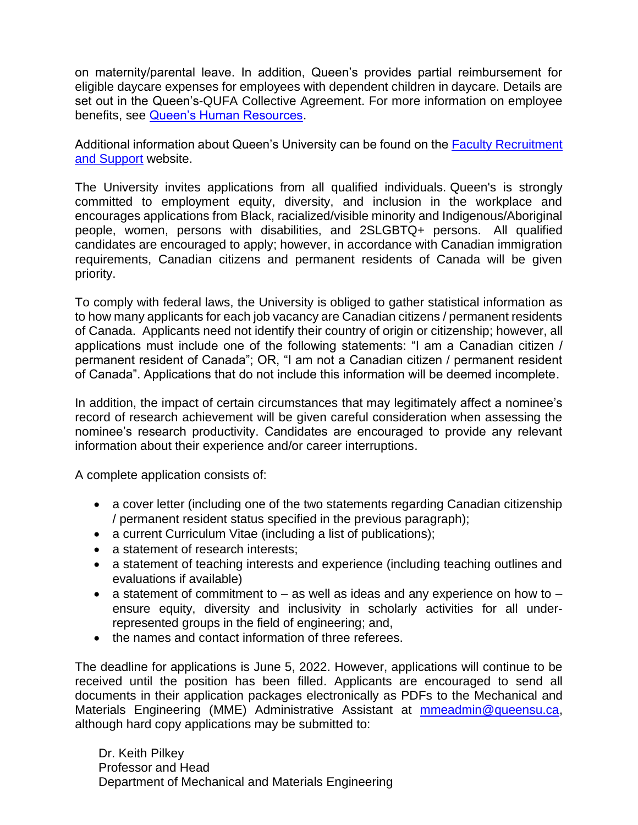on maternity/parental leave. In addition, Queen's provides partial reimbursement for eligible daycare expenses for employees with dependent children in daycare. Details are set out in the Queen's-QUFA Collective Agreement. For more information on employee benefits, see [Queen's Human Resources.](http://www.queensu.ca/humanresources/)

Additional information about Queen's University can be found on the [Faculty Recruitment](http://www.queensu.ca/facultyrecruitment)  [and Support](http://www.queensu.ca/facultyrecruitment) website.

The University invites applications from all qualified individuals. Queen's is strongly committed to employment equity, diversity, and inclusion in the workplace and encourages applications from Black, racialized/visible minority and Indigenous/Aboriginal people, women, persons with disabilities, and 2SLGBTQ+ persons. All qualified candidates are encouraged to apply; however, in accordance with Canadian immigration requirements, Canadian citizens and permanent residents of Canada will be given priority.

To comply with federal laws, the University is obliged to gather statistical information as to how many applicants for each job vacancy are Canadian citizens / permanent residents of Canada. Applicants need not identify their country of origin or citizenship; however, all applications must include one of the following statements: "I am a Canadian citizen / permanent resident of Canada"; OR, "I am not a Canadian citizen / permanent resident of Canada". Applications that do not include this information will be deemed incomplete.

In addition, the impact of certain circumstances that may legitimately affect a nominee's record of research achievement will be given careful consideration when assessing the nominee's research productivity. Candidates are encouraged to provide any relevant information about their experience and/or career interruptions.

A complete application consists of:

- a cover letter (including one of the two statements regarding Canadian citizenship / permanent resident status specified in the previous paragraph);
- a current Curriculum Vitae (including a list of publications);
- a statement of research interests;
- a statement of teaching interests and experience (including teaching outlines and evaluations if available)
- a statement of commitment to  $-$  as well as ideas and any experience on how to  $$ ensure equity, diversity and inclusivity in scholarly activities for all underrepresented groups in the field of engineering; and,
- the names and contact information of three referees.

The deadline for applications is June 5, 2022. However, applications will continue to be received until the position has been filled. Applicants are encouraged to send all documents in their application packages electronically as PDFs to the Mechanical and Materials Engineering (MME) Administrative Assistant at [mmeadmin@queensu.ca,](mailto:mmeadmin@queensu.ca) although hard copy applications may be submitted to:

Dr. Keith Pilkey Professor and Head Department of Mechanical and Materials Engineering